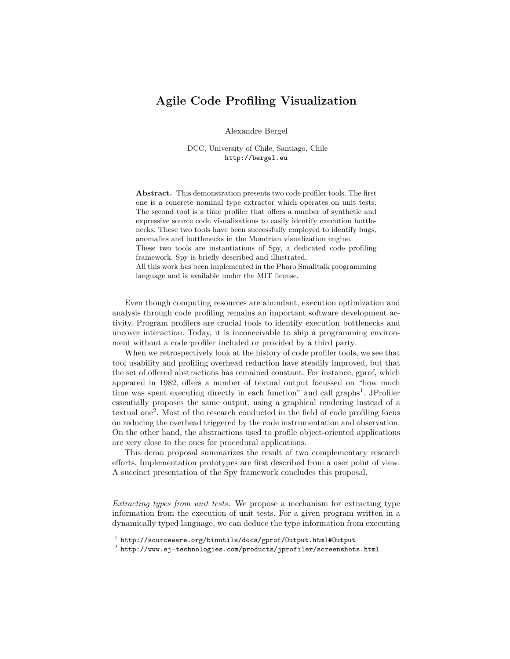## Agile Code Profiling Visualization

Alexandre Bergel

DCC, University of Chile, Santiago, Chile http://bergel.eu

Abstract. This demonstration presents two code profiler tools. The first one is a concrete nominal type extractor which operates on unit tests. The second tool is a time profiler that offers a number of synthetic and expressive source code visualizations to easily identify execution bottlenecks. These two tools have been successfully employed to identify bugs, anomalies and bottlenecks in the Mondrian visualization engine.

These two tools are instantiations of Spy, a dedicated code profiling framework. Spy is briefly described and illustrated.

All this work has been implemented in the Pharo Smalltalk programming language and is available under the MIT license.

Even though computing resources are abundant, execution optimization and analysis through code profiling remains an important software development activity. Program profilers are crucial tools to identify execution bottlenecks and uncover interaction. Today, it is inconceivable to ship a programming environment without a code profiler included or provided by a third party.

When we retrospectively look at the history of code profiler tools, we see that tool usability and profiling overhead reduction have steadily improved, but that the set of offered abstractions has remained constant. For instance, gprof, which appeared in 1982, offers a number of textual output focussed on "how much time was spent executing directly in each function" and call graphs<sup>1</sup>. JProfiler essentially proposes the same output, using a graphical rendering instead of a textual one<sup>2</sup> . Most of the research conducted in the field of code profiling focus on reducing the overhead triggered by the code instrumentation and observation. On the other hand, the abstractions used to profile object-oriented applications are very close to the ones for procedural applications.

This demo proposal summarizes the result of two complementary research efforts. Implementation prototypes are first described from a user point of view. A succinct presentation of the Spy framework concludes this proposal.

Extracting types from unit tests. We propose a mechanism for extracting type information from the execution of unit tests. For a given program written in a dynamically typed language, we can deduce the type information from executing

<sup>1</sup> http://sourceware.org/binutils/docs/gprof/Output.html#Output

 $^2$  http://www.ej-technologies.com/products/jprofiler/screenshots.html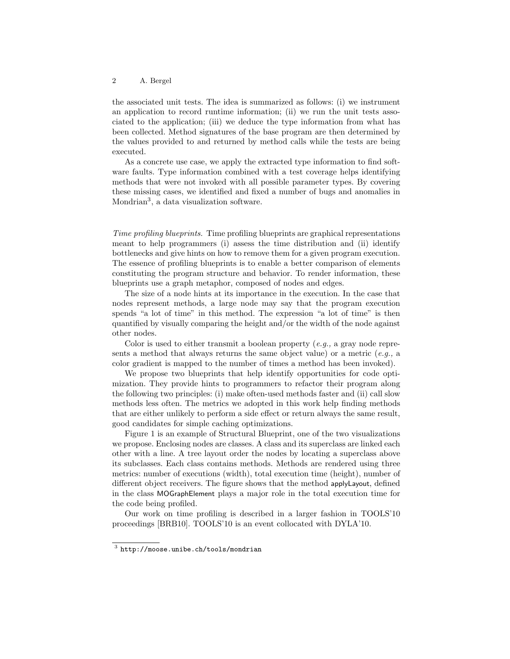## 2 A. Bergel

the associated unit tests. The idea is summarized as follows: (i) we instrument an application to record runtime information; (ii) we run the unit tests associated to the application; (iii) we deduce the type information from what has been collected. Method signatures of the base program are then determined by the values provided to and returned by method calls while the tests are being executed.

As a concrete use case, we apply the extracted type information to find software faults. Type information combined with a test coverage helps identifying methods that were not invoked with all possible parameter types. By covering these missing cases, we identified and fixed a number of bugs and anomalies in Mondrian<sup>3</sup>, a data visualization software.

Time profiling blueprints. Time profiling blueprints are graphical representations meant to help programmers (i) assess the time distribution and (ii) identify bottlenecks and give hints on how to remove them for a given program execution. The essence of profiling blueprints is to enable a better comparison of elements constituting the program structure and behavior. To render information, these blueprints use a graph metaphor, composed of nodes and edges.

The size of a node hints at its importance in the execution. In the case that nodes represent methods, a large node may say that the program execution spends "a lot of time" in this method. The expression "a lot of time" is then quantified by visually comparing the height and/or the width of the node against other nodes.

Color is used to either transmit a boolean property  $(e.g.,$  a gray node represents a method that always returns the same object value) or a metric  $(e.q., a$ color gradient is mapped to the number of times a method has been invoked).

We propose two blueprints that help identify opportunities for code optimization. They provide hints to programmers to refactor their program along the following two principles: (i) make often-used methods faster and (ii) call slow methods less often. The metrics we adopted in this work help finding methods that are either unlikely to perform a side effect or return always the same result, good candidates for simple caching optimizations.

Figure 1 is an example of Structural Blueprint, one of the two visualizations we propose. Enclosing nodes are classes. A class and its superclass are linked each other with a line. A tree layout order the nodes by locating a superclass above its subclasses. Each class contains methods. Methods are rendered using three metrics: number of executions (width), total execution time (height), number of different object receivers. The figure shows that the method applyLayout, defined in the class MOGraphElement plays a major role in the total execution time for the code being profiled.

Our work on time profiling is described in a larger fashion in TOOLS'10 proceedings [BRB10]. TOOLS'10 is an event collocated with DYLA'10.

 $^3$  http://moose.unibe.ch/tools/mondrian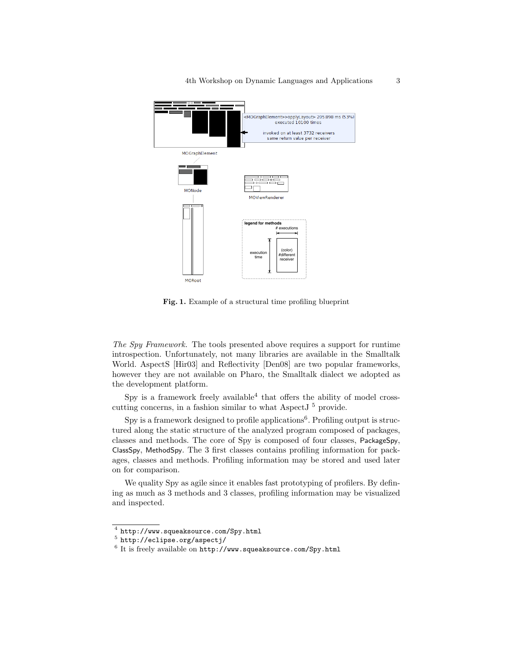4th Workshop on Dynamic Languages and Applications 3



Fig. 1. Example of a structural time profiling blueprint

The Spy Framework. The tools presented above requires a support for runtime introspection. Unfortunately, not many libraries are available in the Smalltalk World. AspectS [Hir03] and Reflectivity [Den08] are two popular frameworks, however they are not available on Pharo, the Smalltalk dialect we adopted as the development platform.

Spy is a framework freely available  $4$  that offers the ability of model crosscutting concerns, in a fashion similar to what AspectJ<sup>5</sup> provide.

Spy is a framework designed to profile applications<sup>6</sup>. Profiling output is structured along the static structure of the analyzed program composed of packages, classes and methods. The core of Spy is composed of four classes, PackageSpy, ClassSpy, MethodSpy. The 3 first classes contains profiling information for packages, classes and methods. Profiling information may be stored and used later on for comparison.

We quality Spy as agile since it enables fast prototyping of profilers. By defining as much as 3 methods and 3 classes, profiling information may be visualized and inspected.

 $^4$  http://www.squeaksource.com/Spy.html

 $^5$  http://eclipse.org/aspectj/

 $^6$  It is freely available on  $\texttt{http://www.squeaksource.com/Spy.html}$